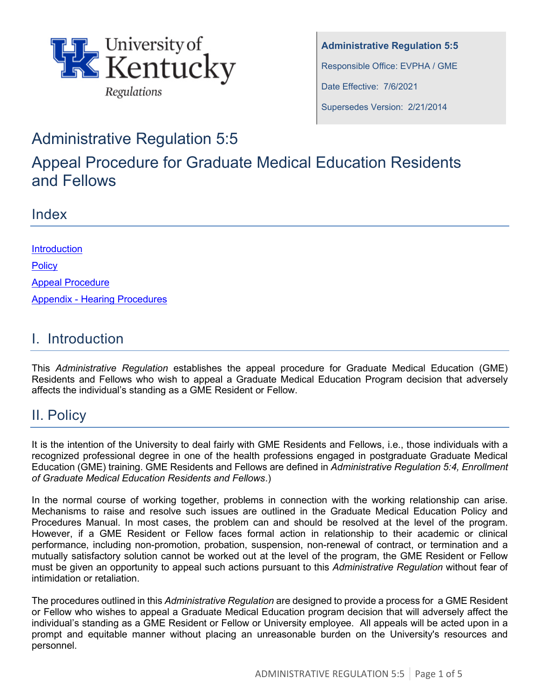

**Administrative Regulation 5:5** Responsible Office: EVPHA / GME Date Effective: 7/6/2021 Supersedes Version: 2/21/2014

# Administrative Regulation 5:5

Appeal Procedure for Graduate Medical Education Residents and Fellows

### Index

| <b>Introduction</b>                  |
|--------------------------------------|
| <b>Policy</b>                        |
| <b>Appeal Procedure</b>              |
| <b>Appendix - Hearing Procedures</b> |

### I. Introduction

This *Administrative Regulation* establishes the appeal procedure for Graduate Medical Education (GME) Residents and Fellows who wish to appeal a Graduate Medical Education Program decision that adversely affects the individual's standing as a GME Resident or Fellow.

# II. Policy

It is the intention of the University to deal fairly with GME Residents and Fellows, i.e., those individuals with a recognized professional degree in one of the health professions engaged in postgraduate Graduate Medical Education (GME) training. GME Residents and Fellows are defined in *Administrative Regulation 5:4, Enrollment of Graduate Medical Education Residents and Fellows*.)

In the normal course of working together, problems in connection with the working relationship can arise. Mechanisms to raise and resolve such issues are outlined in the Graduate Medical Education Policy and Procedures Manual. In most cases, the problem can and should be resolved at the level of the program. However, if a GME Resident or Fellow faces formal action in relationship to their academic or clinical performance, including non-promotion, probation, suspension, non-renewal of contract, or termination and a mutually satisfactory solution cannot be worked out at the level of the program, the GME Resident or Fellow must be given an opportunity to appeal such actions pursuant to this *Administrative Regulation* without fear of intimidation or retaliation.

The procedures outlined in this *Administrative Regulation* are designed to provide a process for a GME Resident or Fellow who wishes to appeal a Graduate Medical Education program decision that will adversely affect the individual's standing as a GME Resident or Fellow or University employee. All appeals will be acted upon in a prompt and equitable manner without placing an unreasonable burden on the University's resources and personnel.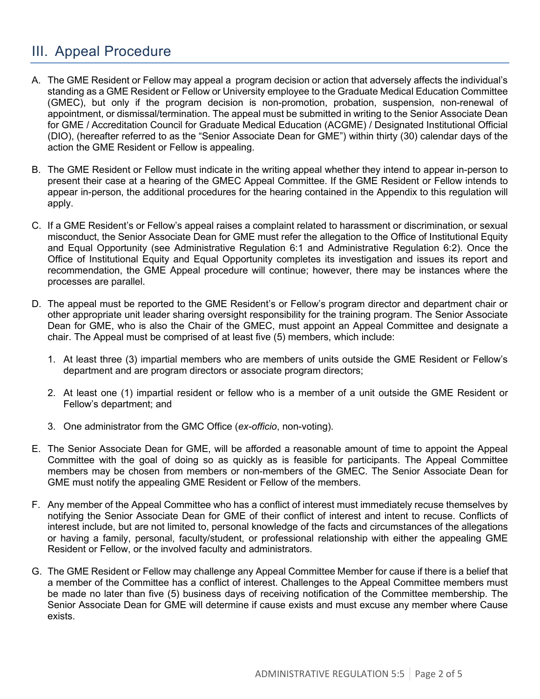## III. Appeal Procedure

- A. The GME Resident or Fellow may appeal a program decision or action that adversely affects the individual's standing as a GME Resident or Fellow or University employee to the Graduate Medical Education Committee (GMEC), but only if the program decision is non-promotion, probation, suspension, non-renewal of appointment, or dismissal/termination. The appeal must be submitted in writing to the Senior Associate Dean for GME / Accreditation Council for Graduate Medical Education (ACGME) / Designated Institutional Official (DIO), (hereafter referred to as the "Senior Associate Dean for GME") within thirty (30) calendar days of the action the GME Resident or Fellow is appealing.
- B. The GME Resident or Fellow must indicate in the writing appeal whether they intend to appear in-person to present their case at a hearing of the GMEC Appeal Committee. If the GME Resident or Fellow intends to appear in-person, the additional procedures for the hearing contained in the Appendix to this regulation will apply.
- C. If a GME Resident's or Fellow's appeal raises a complaint related to harassment or discrimination, or sexual misconduct, the Senior Associate Dean for GME must refer the allegation to the Office of Institutional Equity and Equal Opportunity (see Administrative Regulation 6:1 and Administrative Regulation 6:2). Once the Office of Institutional Equity and Equal Opportunity completes its investigation and issues its report and recommendation, the GME Appeal procedure will continue; however, there may be instances where the processes are parallel.
- D. The appeal must be reported to the GME Resident's or Fellow's program director and department chair or other appropriate unit leader sharing oversight responsibility for the training program. The Senior Associate Dean for GME, who is also the Chair of the GMEC, must appoint an Appeal Committee and designate a chair. The Appeal must be comprised of at least five (5) members, which include:
	- 1. At least three (3) impartial members who are members of units outside the GME Resident or Fellow's department and are program directors or associate program directors;
	- 2. At least one (1) impartial resident or fellow who is a member of a unit outside the GME Resident or Fellow's department; and
	- 3. One administrator from the GMC Office (*ex-officio*, non-voting).
- E. The Senior Associate Dean for GME, will be afforded a reasonable amount of time to appoint the Appeal Committee with the goal of doing so as quickly as is feasible for participants. The Appeal Committee members may be chosen from members or non-members of the GMEC. The Senior Associate Dean for GME must notify the appealing GME Resident or Fellow of the members.
- F. Any member of the Appeal Committee who has a conflict of interest must immediately recuse themselves by notifying the Senior Associate Dean for GME of their conflict of interest and intent to recuse. Conflicts of interest include, but are not limited to, personal knowledge of the facts and circumstances of the allegations or having a family, personal, faculty/student, or professional relationship with either the appealing GME Resident or Fellow, or the involved faculty and administrators.
- G. The GME Resident or Fellow may challenge any Appeal Committee Member for cause if there is a belief that a member of the Committee has a conflict of interest. Challenges to the Appeal Committee members must be made no later than five (5) business days of receiving notification of the Committee membership. The Senior Associate Dean for GME will determine if cause exists and must excuse any member where Cause exists.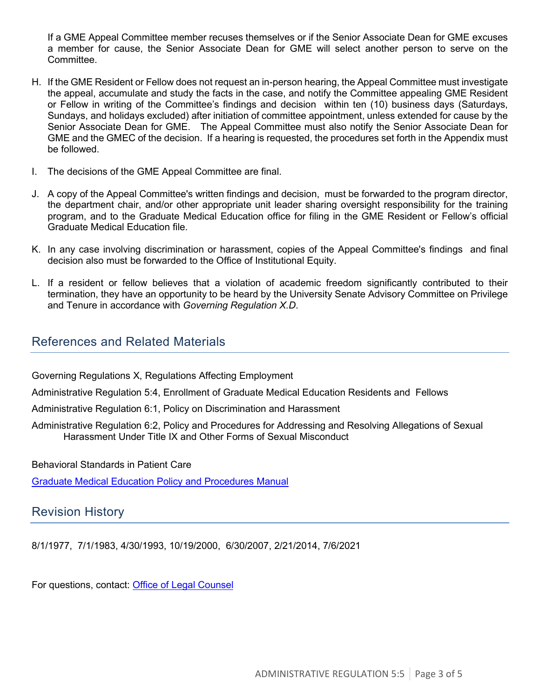If a GME Appeal Committee member recuses themselves or if the Senior Associate Dean for GME excuses a member for cause, the Senior Associate Dean for GME will select another person to serve on the Committee.

- H. If the GME Resident or Fellow does not request an in-person hearing, the Appeal Committee must investigate the appeal, accumulate and study the facts in the case, and notify the Committee appealing GME Resident or Fellow in writing of the Committee's findings and decision within ten (10) business days (Saturdays, Sundays, and holidays excluded) after initiation of committee appointment, unless extended for cause by the Senior Associate Dean for GME. The Appeal Committee must also notify the Senior Associate Dean for GME and the GMEC of the decision. If a hearing is requested, the procedures set forth in the Appendix must be followed.
- I. The decisions of the GME Appeal Committee are final.
- J. A copy of the Appeal Committee's written findings and decision, must be forwarded to the program director, the department chair, and/or other appropriate unit leader sharing oversight responsibility for the training program, and to the Graduate Medical Education office for filing in the GME Resident or Fellow's official Graduate Medical Education file.
- K. In any case involving discrimination or harassment, copies of the Appeal Committee's findings and final decision also must be forwarded to the Office of Institutional Equity.
- L. If a resident or fellow believes that a violation of academic freedom significantly contributed to their termination, they have an opportunity to be heard by the University Senate Advisory Committee on Privilege and Tenure in accordance with *Governing Regulation X.D*.

#### References and Related Materials

Governing Regulations X, Regulations Affecting Employment

Administrative Regulation 5:4, Enrollment of Graduate Medical Education Residents and Fellows

Administrative Regulation 6:1, Policy on Discrimination and Harassment

Administrative Regulation 6:2, Policy and Procedures for Addressing and Resolving Allegations of Sexual Harassment Under Title IX and Other Forms of Sexual Misconduct

Behavioral Standards in Patient Care

[Graduate Medical Education Policy and Procedures Manual](https://gme.med.uky.edu/sites/default/files/2020-21%20Policy%20and%20Procedures%20FINAL%203-12-2021.pdf)

#### Revision History

8/1/1977, 7/1/1983, 4/30/1993, 10/19/2000, 6/30/2007, 2/21/2014, 7/6/2021

For questions, contact: [Office of Legal Counsel](mailto:LegalRegs@uky.edu)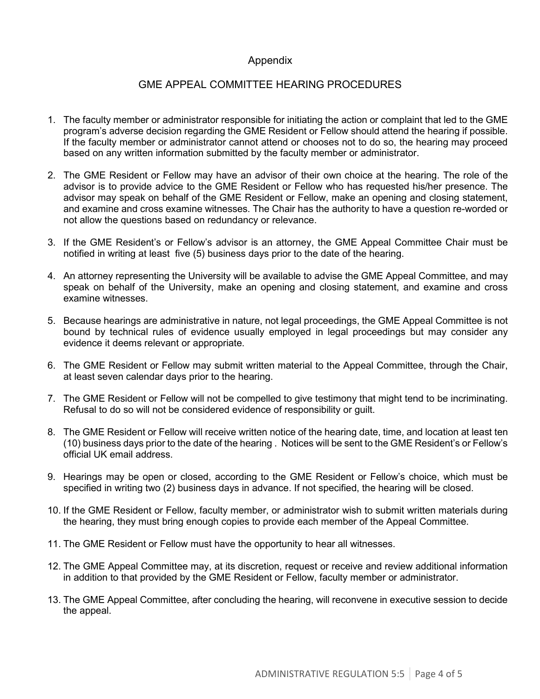#### Appendix

#### GME APPEAL COMMITTEE HEARING PROCEDURES

- 1. The faculty member or administrator responsible for initiating the action or complaint that led to the GME program's adverse decision regarding the GME Resident or Fellow should attend the hearing if possible. If the faculty member or administrator cannot attend or chooses not to do so, the hearing may proceed based on any written information submitted by the faculty member or administrator.
- 2. The GME Resident or Fellow may have an advisor of their own choice at the hearing. The role of the advisor is to provide advice to the GME Resident or Fellow who has requested his/her presence. The advisor may speak on behalf of the GME Resident or Fellow, make an opening and closing statement, and examine and cross examine witnesses. The Chair has the authority to have a question re-worded or not allow the questions based on redundancy or relevance.
- 3. If the GME Resident's or Fellow's advisor is an attorney, the GME Appeal Committee Chair must be notified in writing at least five (5) business days prior to the date of the hearing.
- 4. An attorney representing the University will be available to advise the GME Appeal Committee, and may speak on behalf of the University, make an opening and closing statement, and examine and cross examine witnesses.
- 5. Because hearings are administrative in nature, not legal proceedings, the GME Appeal Committee is not bound by technical rules of evidence usually employed in legal proceedings but may consider any evidence it deems relevant or appropriate.
- 6. The GME Resident or Fellow may submit written material to the Appeal Committee, through the Chair, at least seven calendar days prior to the hearing.
- 7. The GME Resident or Fellow will not be compelled to give testimony that might tend to be incriminating. Refusal to do so will not be considered evidence of responsibility or guilt.
- 8. The GME Resident or Fellow will receive written notice of the hearing date, time, and location at least ten (10) business days prior to the date of the hearing . Notices will be sent to the GME Resident's or Fellow's official UK email address.
- 9. Hearings may be open or closed, according to the GME Resident or Fellow's choice, which must be specified in writing two (2) business days in advance. If not specified, the hearing will be closed.
- 10. If the GME Resident or Fellow, faculty member, or administrator wish to submit written materials during the hearing, they must bring enough copies to provide each member of the Appeal Committee.
- 11. The GME Resident or Fellow must have the opportunity to hear all witnesses.
- 12. The GME Appeal Committee may, at its discretion, request or receive and review additional information in addition to that provided by the GME Resident or Fellow, faculty member or administrator.
- 13. The GME Appeal Committee, after concluding the hearing, will reconvene in executive session to decide the appeal.